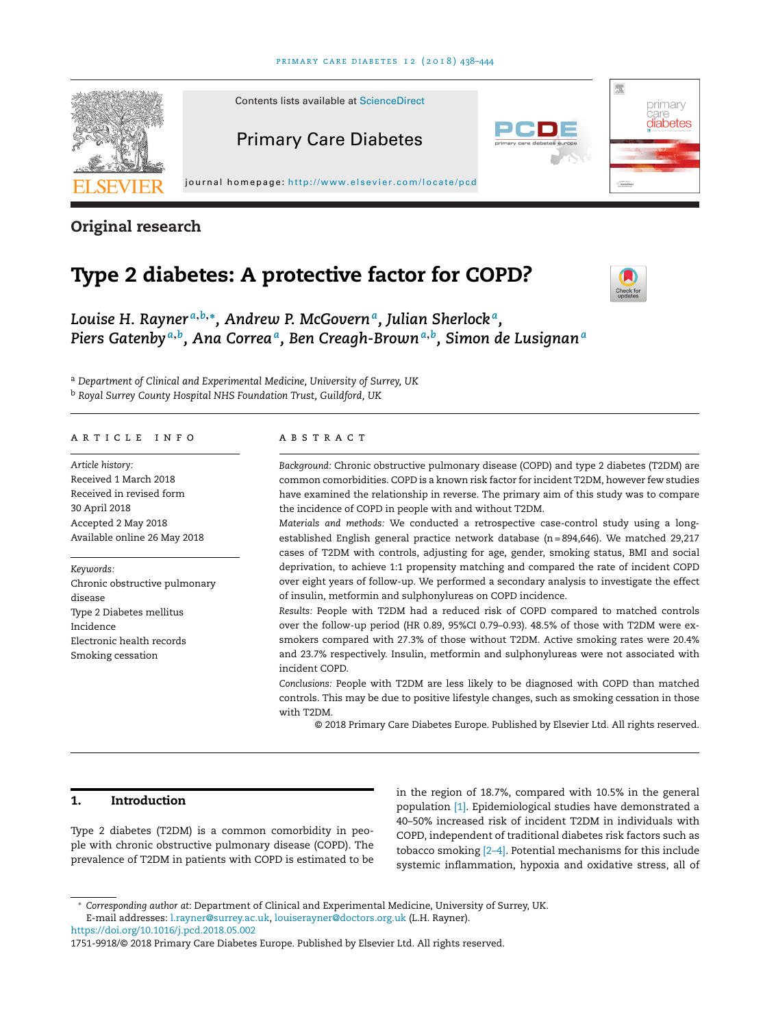

**Original research**

# **Type 2 diabetes: A protective factor for COPD?**



*Louise H. Rayner <sup>a</sup>***,***b***,∗***, Andrew P. McGoverna, Julian Sherlock a, Piers Gatenby <sup>a</sup>***,***b, Ana Correaa, Ben Creagh-Brown<sup>a</sup>***,***b, Simon de Lusignan<sup>a</sup>*

<sup>a</sup> *Department of Clinical and Experimental Medicine, University of Surrey, UK* <sup>b</sup> *Royal Surrey County Hospital NHS Foundation Trust, Guildford, UK*

# a r t i c l e i n f o

*Article history:* Received 1 March 2018 Received in revised form 30 April 2018 Accepted 2 May 2018 Available online 26 May 2018

#### *Keywords:*

Chronic obstructive pulmonary disease Type 2 Diabetes mellitus Incidence Electronic health records Smoking cessation

# a b s t r a c t

*Background:* Chronic obstructive pulmonary disease (COPD) and type 2 diabetes (T2DM) are common comorbidities. COPD is a known risk factor for incident T2DM, however few studies have examined the relationship in reverse. The primary aim of this study was to compare the incidence of COPD in people with and without T2DM.

*Materials and methods:* We conducted a retrospective case-control study using a longestablished English general practice network database (n= 894,646). We matched 29,217 cases of T2DM with controls, adjusting for age, gender, smoking status, BMI and social deprivation, to achieve 1:1 propensity matching and compared the rate of incident COPD over eight years of follow-up. We performed a secondary analysis to investigate the effect of insulin, metformin and sulphonylureas on COPD incidence.

*Results:* People with T2DM had a reduced risk of COPD compared to matched controls over the follow-up period (HR 0.89, 95%CI 0.79–0.93). 48.5% of those with T2DM were exsmokers compared with 27.3% of those without T2DM. Active smoking rates were 20.4% and 23.7% respectively. Insulin, metformin and sulphonylureas were not associated with incident COPD.

*Conclusions:* People with T2DM are less likely to be diagnosed with COPD than matched controls. This may be due to positive lifestyle changes, such as smoking cessation in those with T2DM.

© 2018 Primary Care Diabetes Europe. Published by Elsevier Ltd. All rights reserved.

## **1. Introduction**

Type 2 diabetes (T2DM) is a common comorbidity in people with chronic obstructive pulmonary disease (COPD). The prevalence of T2DM in patients with COPD is estimated to be in the region of 18.7%, compared with 10.5% in the general population [\[1\].](#page-5-0) Epidemiological studies have demonstrated a 40–50% increased risk of incident T2DM in individuals with COPD, independent of traditional diabetes risk factors such as tobacco smoking [\[2–4\].](#page-5-0) Potential mechanisms for this include systemic inflammation, hypoxia and oxidative stress, all of

<https://doi.org/10.1016/j.pcd.2018.05.002>

<sup>∗</sup> *Corresponding author at*: Department of Clinical and Experimental Medicine, University of Surrey, UK. E-mail addresses: [l.rayner@surrey.ac.uk](mailto:l.rayner@surrey.ac.uk), [louiserayner@doctors.org.uk](mailto:louiserayner@doctors.org.uk) (L.H. Rayner).

<sup>1751-9918/©</sup> 2018 Primary Care Diabetes Europe. Published by Elsevier Ltd. All rights reserved.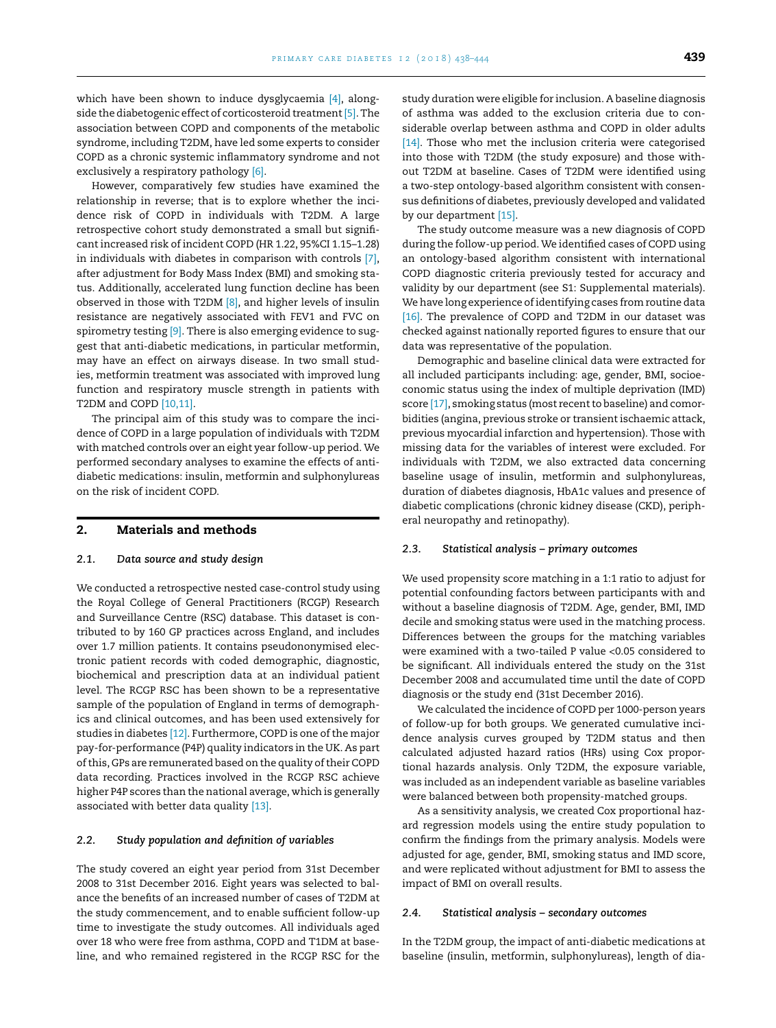which have been shown to induce dysglycaemia [\[4\],](#page-5-0) along-side the diabetogenic effect of corticosteroid treatment [\[5\].](#page-5-0) The association between COPD and components of the metabolic syndrome, including T2DM, have led some experts to consider COPD as a chronic systemic inflammatory syndrome and not exclusively a respiratory pathology [\[6\].](#page-5-0)

However, comparatively few studies have examined the relationship in reverse; that is to explore whether the incidence risk of COPD in individuals with T2DM. A large retrospective cohort study demonstrated a small but significant increased risk of incident COPD (HR 1.22, 95%CI 1.15–1.28) in individuals with diabetes in comparison with controls [\[7\],](#page-5-0) after adjustment for Body Mass Index (BMI) and smoking status. Additionally, accelerated lung function decline has been observed in those with T2DM [\[8\],](#page-5-0) and higher levels of insulin resistance are negatively associated with FEV1 and FVC on spirometry testing  $[9]$ . There is also emerging evidence to suggest that anti-diabetic medications, in particular metformin, may have an effect on airways disease. In two small studies, metformin treatment was associated with improved lung function and respiratory muscle strength in patients with T2DM and COPD [\[10,11\].](#page-5-0)

The principal aim of this study was to compare the incidence of COPD in a large population of individuals with T2DM with matched controls over an eight year follow-up period. We performed secondary analyses to examine the effects of antidiabetic medications: insulin, metformin and sulphonylureas on the risk of incident COPD.

# **2. Materials and methods**

#### *2.1. Data source and study design*

We conducted a retrospective nested case-control study using the Royal College of General Practitioners (RCGP) Research and Surveillance Centre (RSC) database. This dataset is contributed to by 160 GP practices across England, and includes over 1.7 million patients. It contains pseudononymised electronic patient records with coded demographic, diagnostic, biochemical and prescription data at an individual patient level. The RCGP RSC has been shown to be a representative sample of the population of England in terms of demographics and clinical outcomes, and has been used extensively for studies in diabetes [\[12\].](#page-5-0) Furthermore, COPD is one of the major pay-for-performance (P4P) quality indicators in the UK. As part of this, GPs are remunerated based on the quality of their COPD data recording. Practices involved in the RCGP RSC achieve higher P4P scores than the national average, which is generally associated with better data quality [\[13\].](#page-6-0)

#### *2.2. Study population and definition of variables*

The study covered an eight year period from 31st December 2008 to 31st December 2016. Eight years was selected to balance the benefits of an increased number of cases of T2DM at the study commencement, and to enable sufficient follow-up time to investigate the study outcomes. All individuals aged over 18 who were free from asthma, COPD and T1DM at baseline, and who remained registered in the RCGP RSC for the study duration were eligible for inclusion. A baseline diagnosis of asthma was added to the exclusion criteria due to considerable overlap between asthma and COPD in older adults [\[14\].](#page-6-0) Those who met the inclusion criteria were categorised into those with T2DM (the study exposure) and those without T2DM at baseline. Cases of T2DM were identified using a two-step ontology-based algorithm consistent with consensus definitions of diabetes, previously developed and validated by our department [\[15\].](#page-6-0)

The study outcome measure was a new diagnosis of COPD during the follow-up period. We identified cases of COPD using an ontology-based algorithm consistent with international COPD diagnostic criteria previously tested for accuracy and validity by our department (see S1: Supplemental materials). We have long experience of identifying cases from routine data [\[16\].](#page-6-0) The prevalence of COPD and T2DM in our dataset was checked against nationally reported figures to ensure that our data was representative of the population.

Demographic and baseline clinical data were extracted for all included participants including: age, gender, BMI, socioeconomic status using the index of multiple deprivation (IMD) score  $[17]$ , smoking status (most recent to baseline) and comorbidities (angina, previous stroke or transient ischaemic attack, previous myocardial infarction and hypertension). Those with missing data for the variables of interest were excluded. For individuals with T2DM, we also extracted data concerning baseline usage of insulin, metformin and sulphonylureas, duration of diabetes diagnosis, HbA1c values and presence of diabetic complications (chronic kidney disease (CKD), peripheral neuropathy and retinopathy).

#### *2.3. Statistical analysis – primary outcomes*

We used propensity score matching in a 1:1 ratio to adjust for potential confounding factors between participants with and without a baseline diagnosis of T2DM. Age, gender, BMI, IMD decile and smoking status were used in the matching process. Differences between the groups for the matching variables were examined with a two-tailed P value <0.05 considered to be significant. All individuals entered the study on the 31st December 2008 and accumulated time until the date of COPD diagnosis or the study end (31st December 2016).

We calculated the incidence of COPD per 1000-person years of follow-up for both groups. We generated cumulative incidence analysis curves grouped by T2DM status and then calculated adjusted hazard ratios (HRs) using Cox proportional hazards analysis. Only T2DM, the exposure variable, was included as an independent variable as baseline variables were balanced between both propensity-matched groups.

As a sensitivity analysis, we created Cox proportional hazard regression models using the entire study population to confirm the findings from the primary analysis. Models were adjusted for age, gender, BMI, smoking status and IMD score, and were replicated without adjustment for BMI to assess the impact of BMI on overall results.

#### *2.4. Statistical analysis – secondary outcomes*

In the T2DM group, the impact of anti-diabetic medications at baseline (insulin, metformin, sulphonylureas), length of dia-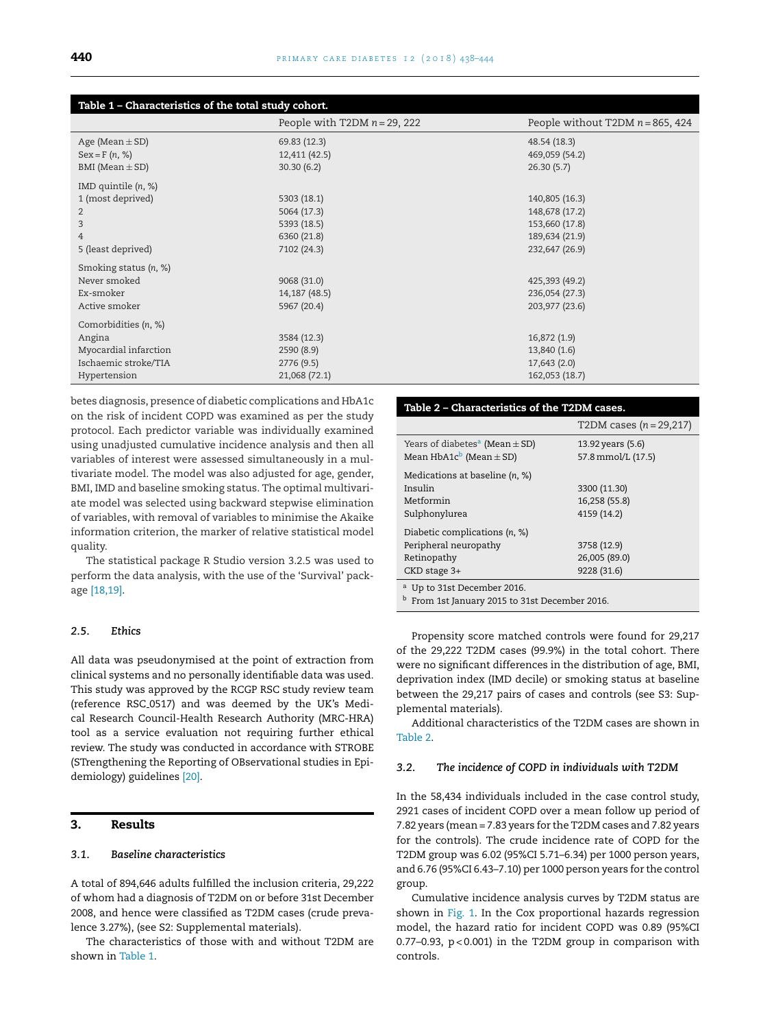| Table 1 - Characteristics of the total study cohort. |                                 |                                     |  |  |
|------------------------------------------------------|---------------------------------|-------------------------------------|--|--|
|                                                      | People with T2DM $n = 29$ , 222 | People without T2DM $n = 865$ , 424 |  |  |
| Age (Mean $\pm$ SD)                                  | 69.83 (12.3)                    | 48.54 (18.3)                        |  |  |
| $Sex = F(n, %)$                                      | 12,411 (42.5)                   | 469,059 (54.2)                      |  |  |
| BMI (Mean $\pm$ SD)                                  | 30.30(6.2)                      | 26.30(5.7)                          |  |  |
| IMD quintile $(n, %)$                                |                                 |                                     |  |  |
| 1 (most deprived)                                    | 5303 (18.1)                     | 140,805 (16.3)                      |  |  |
| 2                                                    | 5064 (17.3)                     | 148,678 (17.2)                      |  |  |
| 3                                                    | 5393 (18.5)                     | 153,660 (17.8)                      |  |  |
| 4                                                    | 6360 (21.8)                     | 189,634 (21.9)                      |  |  |
| 5 (least deprived)                                   | 7102 (24.3)                     | 232,647 (26.9)                      |  |  |
| Smoking status (n, %)                                |                                 |                                     |  |  |
| Never smoked                                         | 9068 (31.0)                     | 425,393 (49.2)                      |  |  |
| Ex-smoker                                            | 14,187 (48.5)                   | 236,054 (27.3)                      |  |  |
| Active smoker                                        | 5967 (20.4)                     | 203,977 (23.6)                      |  |  |
| Comorbidities (n, %)                                 |                                 |                                     |  |  |
| Angina                                               | 3584 (12.3)                     | 16,872 (1.9)                        |  |  |
| Myocardial infarction                                | 2590(8.9)                       | 13,840 (1.6)                        |  |  |
| Ischaemic stroke/TIA                                 | 2776(9.5)                       | 17,643(2.0)                         |  |  |
| Hypertension                                         | 21,068 (72.1)                   | 162,053 (18.7)                      |  |  |

betes diagnosis, presence of diabetic complications and HbA1c on the risk of incident COPD was examined as per the study protocol. Each predictor variable was individually examined using unadjusted cumulative incidence analysis and then all variables of interest were assessed simultaneously in a multivariate model. The model was also adjusted for age, gender, BMI, IMD and baseline smoking status. The optimal multivariate model was selected using backward stepwise elimination of variables, with removal of variables to minimise the Akaike information criterion, the marker of relative statistical model quality.

The statistical package R Studio version 3.2.5 was used to perform the data analysis, with the use of the 'Survival' package [\[18,19\].](#page-6-0)

# *2.5. Ethics*

All data was pseudonymised at the point of extraction from clinical systems and no personally identifiable data was used. This study was approved by the RCGP RSC study review team (reference RSC 0517) and was deemed by the UK's Medical Research Council-Health Research Authority (MRC-HRA) tool as a service evaluation not requiring further ethical review. The study was conducted in accordance with STROBE (STrengthening the Reporting of OBservational studies in Epidemiology) guidelines [\[20\].](#page-6-0)

# **3. Results**

# *3.1. Baseline characteristics*

A total of 894,646 adults fulfilled the inclusion criteria, 29,222 of whom had a diagnosis of T2DM on or before 31st December 2008, and hence were classified as T2DM cases (crude prevalence 3.27%), (see S2: Supplemental materials).

The characteristics of those with and without T2DM are shown in Table 1.

| Table 2 – Characteristics of the T2DM cases.                                          |                                              |  |  |  |
|---------------------------------------------------------------------------------------|----------------------------------------------|--|--|--|
|                                                                                       | T2DM cases $(n = 29,217)$                    |  |  |  |
| Years of diabetes <sup>a</sup> (Mean $\pm$ SD)<br>Mean $HbA1c^b$ (Mean $\pm$ SD)      | 13.92 years (5.6)<br>57.8 mmol/L (17.5)      |  |  |  |
| Medications at baseline $(n, %)$<br>Insulin<br>Metformin<br>Sulphonylurea             | 3300 (11.30)<br>16,258 (55.8)<br>4159 (14.2) |  |  |  |
| Diabetic complications (n, %)<br>Peripheral neuropathy<br>Retinopathy<br>CKD stage 3+ | 3758 (12.9)<br>26,005 (89.0)<br>9228 (31.6)  |  |  |  |
| <sup>a</sup> Up to 31st December 2016.                                                |                                              |  |  |  |

b From 1st January 2015 to 31st December 2016.

Propensity score matched controls were found for 29,217 of the 29,222 T2DM cases (99.9%) in the total cohort. There were no significant differences in the distribution of age, BMI, deprivation index (IMD decile) or smoking status at baseline between the 29,217 pairs of cases and controls (see S3: Supplemental materials).

Additional characteristics of the T2DM cases are shown in Table 2.

#### *3.2. The incidence of COPD in individuals with T2DM*

In the 58,434 individuals included in the case control study, 2921 cases of incident COPD over a mean follow up period of 7.82 years (mean= 7.83 years for the T2DM cases and 7.82 years for the controls). The crude incidence rate of COPD for the T2DM group was 6.02 (95%CI 5.71–6.34) per 1000 person years, and 6.76 (95%CI 6.43–7.10) per 1000 person years for the control group.

Cumulative incidence analysis curves by T2DM status are shown in [Fig.](#page-3-0) 1. In the Cox proportional hazards regression model, the hazard ratio for incident COPD was 0.89 (95%CI 0.77–0.93, p < 0.001) in the T2DM group in comparison with controls.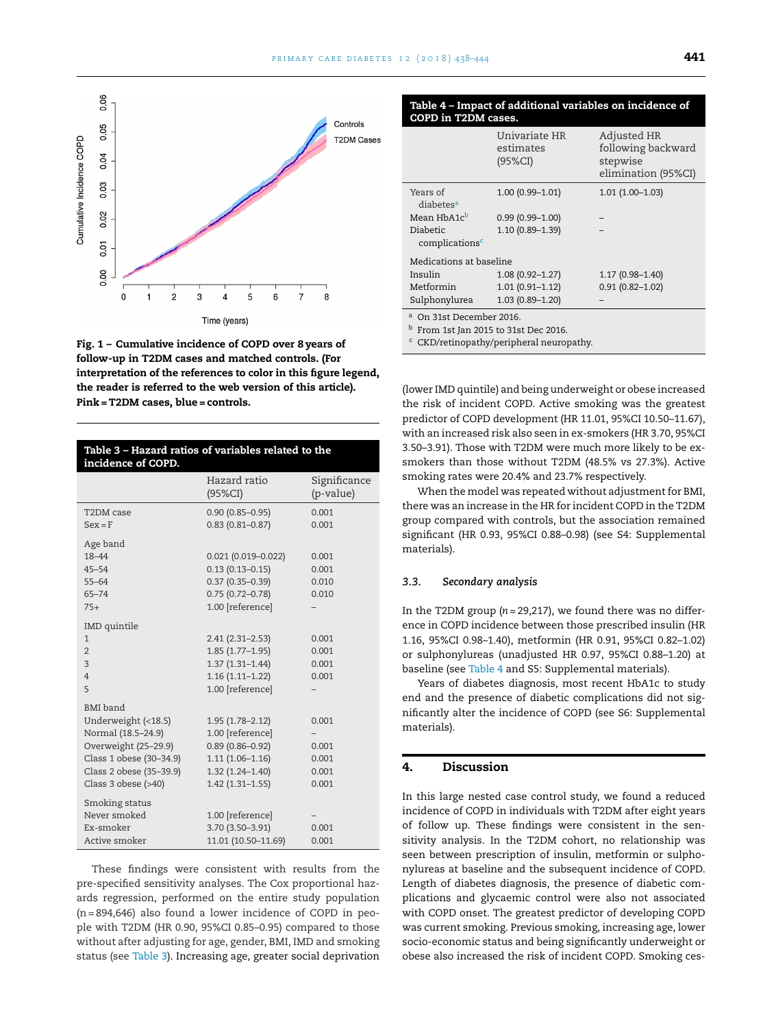<span id="page-3-0"></span>

**Fig. 1 – Cumulative incidence of COPD over 8 years of follow-up in T2DM cases and matched controls. (For interpretation of the references to color in this figure legend, the reader is referred to the web version of this article). Pink =T2DM cases, blue = controls.**

| Hazard ratio<br>Significance<br>(p-value)<br>$(95\%CI)$<br>$0.90(0.85 - 0.95)$<br>0.001<br>T2DM case<br>$0.83(0.81 - 0.87)$<br>$Sex = F$<br>0.001<br>Age band<br>18-44<br>$0.021(0.019 - 0.022)$<br>0.001<br>$0.13(0.13 - 0.15)$<br>$45 - 54$<br>0.001<br>$0.37(0.35 - 0.39)$<br>$55 - 64$<br>0.010<br>$0.75(0.72 - 0.78)$<br>$65 - 74$<br>0.010<br>1.00 [reference]<br>$75+$<br><b>IMD</b> quintile<br>$2.41(2.31 - 2.53)$<br>$\mathbf{1}$<br>0.001<br>$1.85(1.77-1.95)$<br>$\overline{2}$<br>0.001<br>$1.37(1.31 - 1.44)$<br>3<br>0.001<br>$1.16(1.11 - 1.22)$<br>0.001<br>$\overline{4}$<br>1.00 [reference]<br>5<br><b>BMI</b> band<br>Underweight (<18.5)<br>$1.95(1.78 - 2.12)$<br>0.001<br>Normal (18.5-24.9)<br>1.00 [reference]<br>Overweight (25-29.9)<br>$0.89(0.86 - 0.92)$<br>0.001<br>Class 1 obese (30-34.9)<br>$1.11(1.06 - 1.16)$<br>0.001<br>Class 2 obese (35-39.9)<br>$1.32(1.24 - 1.40)$<br>0.001<br>Class $3$ obese $(>40)$<br>$1.42(1.31 - 1.55)$<br>0.001<br>Smoking status<br>Never smoked<br>1.00 [reference]<br>3.70 (3.50-3.91)<br>Ex-smoker<br>0.001<br>11.01 (10.50-11.69)<br>Active smoker<br>0.001 | Table 3 - Hazard ratios of variables related to the<br>incidence of COPD. |  |  |  |
|------------------------------------------------------------------------------------------------------------------------------------------------------------------------------------------------------------------------------------------------------------------------------------------------------------------------------------------------------------------------------------------------------------------------------------------------------------------------------------------------------------------------------------------------------------------------------------------------------------------------------------------------------------------------------------------------------------------------------------------------------------------------------------------------------------------------------------------------------------------------------------------------------------------------------------------------------------------------------------------------------------------------------------------------------------------------------------------------------------------------------------|---------------------------------------------------------------------------|--|--|--|
|                                                                                                                                                                                                                                                                                                                                                                                                                                                                                                                                                                                                                                                                                                                                                                                                                                                                                                                                                                                                                                                                                                                                    |                                                                           |  |  |  |
|                                                                                                                                                                                                                                                                                                                                                                                                                                                                                                                                                                                                                                                                                                                                                                                                                                                                                                                                                                                                                                                                                                                                    |                                                                           |  |  |  |
|                                                                                                                                                                                                                                                                                                                                                                                                                                                                                                                                                                                                                                                                                                                                                                                                                                                                                                                                                                                                                                                                                                                                    |                                                                           |  |  |  |
|                                                                                                                                                                                                                                                                                                                                                                                                                                                                                                                                                                                                                                                                                                                                                                                                                                                                                                                                                                                                                                                                                                                                    |                                                                           |  |  |  |
|                                                                                                                                                                                                                                                                                                                                                                                                                                                                                                                                                                                                                                                                                                                                                                                                                                                                                                                                                                                                                                                                                                                                    |                                                                           |  |  |  |
|                                                                                                                                                                                                                                                                                                                                                                                                                                                                                                                                                                                                                                                                                                                                                                                                                                                                                                                                                                                                                                                                                                                                    |                                                                           |  |  |  |
|                                                                                                                                                                                                                                                                                                                                                                                                                                                                                                                                                                                                                                                                                                                                                                                                                                                                                                                                                                                                                                                                                                                                    |                                                                           |  |  |  |
|                                                                                                                                                                                                                                                                                                                                                                                                                                                                                                                                                                                                                                                                                                                                                                                                                                                                                                                                                                                                                                                                                                                                    |                                                                           |  |  |  |
|                                                                                                                                                                                                                                                                                                                                                                                                                                                                                                                                                                                                                                                                                                                                                                                                                                                                                                                                                                                                                                                                                                                                    |                                                                           |  |  |  |
|                                                                                                                                                                                                                                                                                                                                                                                                                                                                                                                                                                                                                                                                                                                                                                                                                                                                                                                                                                                                                                                                                                                                    |                                                                           |  |  |  |
|                                                                                                                                                                                                                                                                                                                                                                                                                                                                                                                                                                                                                                                                                                                                                                                                                                                                                                                                                                                                                                                                                                                                    |                                                                           |  |  |  |
|                                                                                                                                                                                                                                                                                                                                                                                                                                                                                                                                                                                                                                                                                                                                                                                                                                                                                                                                                                                                                                                                                                                                    |                                                                           |  |  |  |
|                                                                                                                                                                                                                                                                                                                                                                                                                                                                                                                                                                                                                                                                                                                                                                                                                                                                                                                                                                                                                                                                                                                                    |                                                                           |  |  |  |
|                                                                                                                                                                                                                                                                                                                                                                                                                                                                                                                                                                                                                                                                                                                                                                                                                                                                                                                                                                                                                                                                                                                                    |                                                                           |  |  |  |
|                                                                                                                                                                                                                                                                                                                                                                                                                                                                                                                                                                                                                                                                                                                                                                                                                                                                                                                                                                                                                                                                                                                                    |                                                                           |  |  |  |
|                                                                                                                                                                                                                                                                                                                                                                                                                                                                                                                                                                                                                                                                                                                                                                                                                                                                                                                                                                                                                                                                                                                                    |                                                                           |  |  |  |
|                                                                                                                                                                                                                                                                                                                                                                                                                                                                                                                                                                                                                                                                                                                                                                                                                                                                                                                                                                                                                                                                                                                                    |                                                                           |  |  |  |
|                                                                                                                                                                                                                                                                                                                                                                                                                                                                                                                                                                                                                                                                                                                                                                                                                                                                                                                                                                                                                                                                                                                                    |                                                                           |  |  |  |
|                                                                                                                                                                                                                                                                                                                                                                                                                                                                                                                                                                                                                                                                                                                                                                                                                                                                                                                                                                                                                                                                                                                                    |                                                                           |  |  |  |
|                                                                                                                                                                                                                                                                                                                                                                                                                                                                                                                                                                                                                                                                                                                                                                                                                                                                                                                                                                                                                                                                                                                                    |                                                                           |  |  |  |
|                                                                                                                                                                                                                                                                                                                                                                                                                                                                                                                                                                                                                                                                                                                                                                                                                                                                                                                                                                                                                                                                                                                                    |                                                                           |  |  |  |
|                                                                                                                                                                                                                                                                                                                                                                                                                                                                                                                                                                                                                                                                                                                                                                                                                                                                                                                                                                                                                                                                                                                                    |                                                                           |  |  |  |

These findings were consistent with results from the pre-specified sensitivity analyses. The Cox proportional hazards regression, performed on the entire study population (n= 894,646) also found a lower incidence of COPD in people with T2DM (HR 0.90, 95%CI 0.85–0.95) compared to those without after adjusting for age, gender, BMI, IMD and smoking status (see Table 3). Increasing age, greater social deprivation

| Table 4 – Impact of additional variables on incidence of |  |
|----------------------------------------------------------|--|
| COPD in T2DM cases.                                      |  |

|                                                                                                                                                                           | Univariate HR<br>estimates<br>$(95\%CI)$ | Adjusted HR<br>following backward<br>stepwise<br>elimination (95%CI) |  |
|---------------------------------------------------------------------------------------------------------------------------------------------------------------------------|------------------------------------------|----------------------------------------------------------------------|--|
| Years of<br>diabetes <sup>a</sup>                                                                                                                                         | $1.00(0.99 - 1.01)$                      | $1.01(1.00-1.03)$                                                    |  |
| Mean HbA1c <sup>b</sup>                                                                                                                                                   | $0.99(0.99 - 1.00)$                      |                                                                      |  |
| Diabetic                                                                                                                                                                  | 1.10 (0.89-1.39)                         |                                                                      |  |
| complications <sup>c</sup>                                                                                                                                                |                                          |                                                                      |  |
| Medications at baseline                                                                                                                                                   |                                          |                                                                      |  |
| Insulin                                                                                                                                                                   | $1.08(0.92 - 1.27)$                      | $1.17(0.98 - 1.40)$                                                  |  |
| Metformin                                                                                                                                                                 | $1.01(0.91 - 1.12)$                      | $0.91(0.82 - 1.02)$                                                  |  |
| Sulphonylurea                                                                                                                                                             | $1.03(0.89 - 1.20)$                      |                                                                      |  |
| <sup>a</sup> On 31st December 2016.<br>$b$ From 1st Jan 2015 to 31st Dec 2016.<br>$\mathcal{L}$ and $\mathcal{L}$ is the set of $\mathcal{L}$ is the set of $\mathcal{L}$ |                                          |                                                                      |  |

<sup>c</sup> CKD/retinopathy/peripheral neuropathy.

(lower IMD quintile) and being underweight or obese increased the risk of incident COPD. Active smoking was the greatest predictor of COPD development (HR 11.01, 95%CI 10.50–11.67), with an increased risk also seen in ex-smokers (HR 3.70, 95%CI 3.50–3.91). Those with T2DM were much more likely to be exsmokers than those without T2DM (48.5% vs 27.3%). Active smoking rates were 20.4% and 23.7% respectively.

When the model was repeated without adjustment for BMI, there was an increase in the HR for incident COPD in the T2DM group compared with controls, but the association remained significant (HR 0.93, 95%CI 0.88–0.98) (see S4: Supplemental materials).

# *3.3. Secondary analysis*

In the T2DM group (*n* = 29,217), we found there was no difference in COPD incidence between those prescribed insulin (HR 1.16, 95%CI 0.98–1.40), metformin (HR 0.91, 95%CI 0.82–1.02) or sulphonylureas (unadjusted HR 0.97, 95%CI 0.88–1.20) at baseline (see Table 4 and S5: Supplemental materials).

Years of diabetes diagnosis, most recent HbA1c to study end and the presence of diabetic complications did not significantly alter the incidence of COPD (see S6: Supplemental materials).

# **4. Discussion**

In this large nested case control study, we found a reduced incidence of COPD in individuals with T2DM after eight years of follow up. These findings were consistent in the sensitivity analysis. In the T2DM cohort, no relationship was seen between prescription of insulin, metformin or sulphonylureas at baseline and the subsequent incidence of COPD. Length of diabetes diagnosis, the presence of diabetic complications and glycaemic control were also not associated with COPD onset. The greatest predictor of developing COPD was current smoking. Previous smoking, increasing age, lower socio-economic status and being significantly underweight or obese also increased the risk of incident COPD. Smoking ces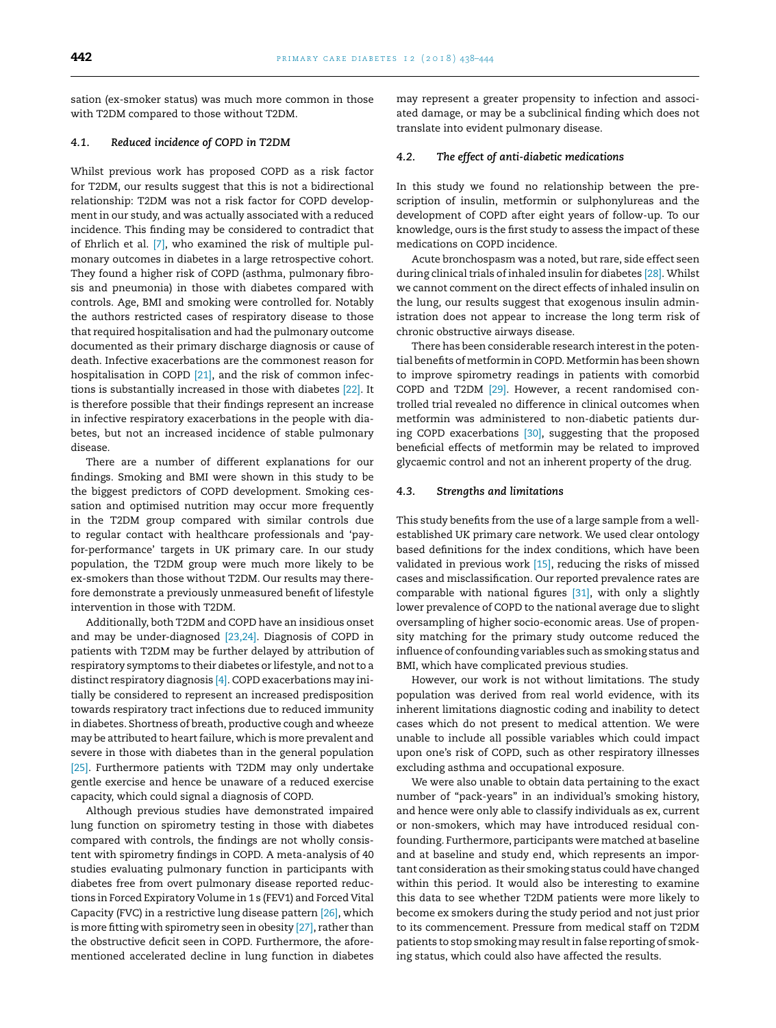sation (ex-smoker status) was much more common in those with T2DM compared to those without T2DM.

#### *4.1. Reduced incidence of COPD in T2DM*

Whilst previous work has proposed COPD as a risk factor for T2DM, our results suggest that this is not a bidirectional relationship: T2DM was not a risk factor for COPD development in our study, and was actually associated with a reduced incidence. This finding may be considered to contradict that of Ehrlich et al. [\[7\],](#page-5-0) who examined the risk of multiple pulmonary outcomes in diabetes in a large retrospective cohort. They found a higher risk of COPD (asthma, pulmonary fibrosis and pneumonia) in those with diabetes compared with controls. Age, BMI and smoking were controlled for. Notably the authors restricted cases of respiratory disease to those that required hospitalisation and had the pulmonary outcome documented as their primary discharge diagnosis or cause of death. Infective exacerbations are the commonest reason for hospitalisation in COPD [\[21\],](#page-6-0) and the risk of common infections is substantially increased in those with diabetes [\[22\].](#page-6-0) It is therefore possible that their findings represent an increase in infective respiratory exacerbations in the people with diabetes, but not an increased incidence of stable pulmonary disease.

There are a number of different explanations for our findings. Smoking and BMI were shown in this study to be the biggest predictors of COPD development. Smoking cessation and optimised nutrition may occur more frequently in the T2DM group compared with similar controls due to regular contact with healthcare professionals and 'payfor-performance' targets in UK primary care. In our study population, the T2DM group were much more likely to be ex-smokers than those without T2DM. Our results may therefore demonstrate a previously unmeasured benefit of lifestyle intervention in those with T2DM.

Additionally, both T2DM and COPD have an insidious onset and may be under-diagnosed [\[23,24\].](#page-6-0) Diagnosis of COPD in patients with T2DM may be further delayed by attribution of respiratory symptoms to their diabetes or lifestyle, and notto a distinct respiratory diagnosis [\[4\].](#page-5-0) COPD exacerbations may initially be considered to represent an increased predisposition towards respiratory tract infections due to reduced immunity in diabetes. Shortness of breath, productive cough and wheeze may be attributed to heart failure, which is more prevalent and severe in those with diabetes than in the general population [\[25\].](#page-6-0) Furthermore patients with T2DM may only undertake gentle exercise and hence be unaware of a reduced exercise capacity, which could signal a diagnosis of COPD.

Although previous studies have demonstrated impaired lung function on spirometry testing in those with diabetes compared with controls, the findings are not wholly consistent with spirometry findings in COPD. A meta-analysis of 40 studies evaluating pulmonary function in participants with diabetes free from overt pulmonary disease reported reductions in Forced Expiratory Volume in 1 s (FEV1) and Forced Vital Capacity (FVC) in a restrictive lung disease pattern [\[26\],](#page-6-0) which is more fitting with spirometry seen in obesity [\[27\],](#page-6-0) rather than the obstructive deficit seen in COPD. Furthermore, the aforementioned accelerated decline in lung function in diabetes

may represent a greater propensity to infection and associated damage, or may be a subclinical finding which does not translate into evident pulmonary disease.

#### *4.2. The effect of anti-diabetic medications*

In this study we found no relationship between the prescription of insulin, metformin or sulphonylureas and the development of COPD after eight years of follow-up. To our knowledge, ours is the first study to assess the impact of these medications on COPD incidence.

Acute bronchospasm was a noted, but rare, side effect seen during clinical trials of inhaled insulin for diabetes [\[28\].](#page-6-0) Whilst we cannot comment on the direct effects of inhaled insulin on the lung, our results suggest that exogenous insulin administration does not appear to increase the long term risk of chronic obstructive airways disease.

There has been considerable research interestin the potential benefits of metformin in COPD. Metformin has been shown to improve spirometry readings in patients with comorbid COPD and T2DM [\[29\].](#page-6-0) However, a recent randomised controlled trial revealed no difference in clinical outcomes when metformin was administered to non-diabetic patients during COPD exacerbations [\[30\],](#page-6-0) suggesting that the proposed beneficial effects of metformin may be related to improved glycaemic control and not an inherent property of the drug.

#### *4.3. Strengths and limitations*

This study benefits from the use of a large sample from a wellestablished UK primary care network. We used clear ontology based definitions for the index conditions, which have been validated in previous work <a>[15]</a>, reducing the risks of missed cases and misclassification. Our reported prevalence rates are comparable with national figures [\[31\],](#page-6-0) with only a slightly lower prevalence of COPD to the national average due to slight oversampling of higher socio-economic areas. Use of propensity matching for the primary study outcome reduced the influence of confounding variables such as smoking status and BMI, which have complicated previous studies.

However, our work is not without limitations. The study population was derived from real world evidence, with its inherent limitations diagnostic coding and inability to detect cases which do not present to medical attention. We were unable to include all possible variables which could impact upon one's risk of COPD, such as other respiratory illnesses excluding asthma and occupational exposure.

We were also unable to obtain data pertaining to the exact number of "pack-years" in an individual's smoking history, and hence were only able to classify individuals as ex, current or non-smokers, which may have introduced residual confounding. Furthermore, participants were matched at baseline and at baseline and study end, which represents an important consideration as their smoking status could have changed within this period. It would also be interesting to examine this data to see whether T2DM patients were more likely to become ex smokers during the study period and not just prior to its commencement. Pressure from medical staff on T2DM patients to stop smoking may resultin false reporting of smoking status, which could also have affected the results.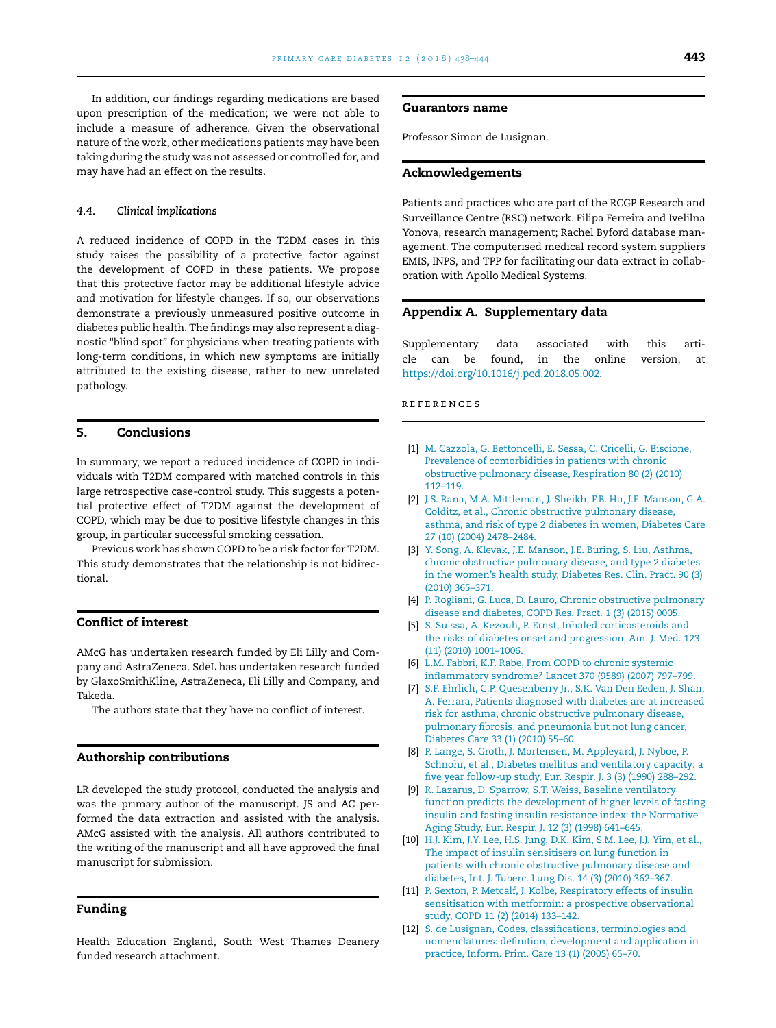<span id="page-5-0"></span>In addition, our findings regarding medications are based upon prescription of the medication; we were not able to include a measure of adherence. Given the observational nature of the work, other medications patients may have been taking during the study was not assessed or controlled for, and may have had an effect on the results.

#### *4.4. Clinical implications*

A reduced incidence of COPD in the T2DM cases in this study raises the possibility of a protective factor against the development of COPD in these patients. We propose that this protective factor may be additional lifestyle advice and motivation for lifestyle changes. If so, our observations demonstrate a previously unmeasured positive outcome in diabetes public health. The findings may also represent a diagnostic "blind spot" for physicians when treating patients with long-term conditions, in which new symptoms are initially attributed to the existing disease, rather to new unrelated pathology.

# **5. Conclusions**

In summary, we report a reduced incidence of COPD in individuals with T2DM compared with matched controls in this large retrospective case-control study. This suggests a potential protective effect of T2DM against the development of COPD, which may be due to positive lifestyle changes in this group, in particular successful smoking cessation.

Previous work has shown COPD to be a risk factor for T2DM. This study demonstrates that the relationship is not bidirectional.

# **Conflict of interest**

AMcG has undertaken research funded by Eli Lilly and Company and AstraZeneca. SdeL has undertaken research funded by GlaxoSmithKline, AstraZeneca, Eli Lilly and Company, and Takeda.

The authors state that they have no conflict of interest.

#### **Authorship contributions**

LR developed the study protocol, conducted the analysis and was the primary author of the manuscript. JS and AC performed the data extraction and assisted with the analysis. AMcG assisted with the analysis. All authors contributed to the writing of the manuscript and all have approved the final manuscript for submission.

# **Funding**

Health Education England, South West Thames Deanery funded research attachment.

#### **Guarantors name**

Professor Simon de Lusignan.

# **Acknowledgements**

Patients and practices who are part of the RCGP Research and Surveillance Centre (RSC) network. Filipa Ferreira and Ivelilna Yonova, research management; Rachel Byford database management. The computerised medical record system suppliers EMIS, INPS, and TPP for facilitating our data extract in collaboration with Apollo Medical Systems.

# **Appendix A. Supplementary data**

Supplementary data associated with this article can be found, in the online version, at [https://doi.org/10.1016/j.pcd.2018.05.002.](https://doi.org/10.1016/j.pcd.2018.05.002)

#### **REFERENCES**

- [1] [M.](http://refhub.elsevier.com/S1751-9918(18)30101-3/sbref0005) [Cazzola,](http://refhub.elsevier.com/S1751-9918(18)30101-3/sbref0005) [G.](http://refhub.elsevier.com/S1751-9918(18)30101-3/sbref0005) [Bettoncelli,](http://refhub.elsevier.com/S1751-9918(18)30101-3/sbref0005) [E.](http://refhub.elsevier.com/S1751-9918(18)30101-3/sbref0005) [Sessa,](http://refhub.elsevier.com/S1751-9918(18)30101-3/sbref0005) [C.](http://refhub.elsevier.com/S1751-9918(18)30101-3/sbref0005) [Cricelli,](http://refhub.elsevier.com/S1751-9918(18)30101-3/sbref0005) [G.](http://refhub.elsevier.com/S1751-9918(18)30101-3/sbref0005) [Biscione,](http://refhub.elsevier.com/S1751-9918(18)30101-3/sbref0005) [Prevalence](http://refhub.elsevier.com/S1751-9918(18)30101-3/sbref0005) [of](http://refhub.elsevier.com/S1751-9918(18)30101-3/sbref0005) [comorbidities](http://refhub.elsevier.com/S1751-9918(18)30101-3/sbref0005) [in](http://refhub.elsevier.com/S1751-9918(18)30101-3/sbref0005) [patients](http://refhub.elsevier.com/S1751-9918(18)30101-3/sbref0005) [with](http://refhub.elsevier.com/S1751-9918(18)30101-3/sbref0005) [chronic](http://refhub.elsevier.com/S1751-9918(18)30101-3/sbref0005) [obstructive](http://refhub.elsevier.com/S1751-9918(18)30101-3/sbref0005) [pulmonary](http://refhub.elsevier.com/S1751-9918(18)30101-3/sbref0005) [disease,](http://refhub.elsevier.com/S1751-9918(18)30101-3/sbref0005) [Respiration](http://refhub.elsevier.com/S1751-9918(18)30101-3/sbref0005) [80](http://refhub.elsevier.com/S1751-9918(18)30101-3/sbref0005) [\(2\)](http://refhub.elsevier.com/S1751-9918(18)30101-3/sbref0005) [\(2010\)](http://refhub.elsevier.com/S1751-9918(18)30101-3/sbref0005) [112](http://refhub.elsevier.com/S1751-9918(18)30101-3/sbref0005)–[119.](http://refhub.elsevier.com/S1751-9918(18)30101-3/sbref0005)
- [2] [J.S.](http://refhub.elsevier.com/S1751-9918(18)30101-3/sbref0010) [Rana,](http://refhub.elsevier.com/S1751-9918(18)30101-3/sbref0010) [M.A.](http://refhub.elsevier.com/S1751-9918(18)30101-3/sbref0010) [Mittleman,](http://refhub.elsevier.com/S1751-9918(18)30101-3/sbref0010) [J.](http://refhub.elsevier.com/S1751-9918(18)30101-3/sbref0010) [Sheikh,](http://refhub.elsevier.com/S1751-9918(18)30101-3/sbref0010) [F.B.](http://refhub.elsevier.com/S1751-9918(18)30101-3/sbref0010) [Hu,](http://refhub.elsevier.com/S1751-9918(18)30101-3/sbref0010) [J.E.](http://refhub.elsevier.com/S1751-9918(18)30101-3/sbref0010) [Manson,](http://refhub.elsevier.com/S1751-9918(18)30101-3/sbref0010) [G.A.](http://refhub.elsevier.com/S1751-9918(18)30101-3/sbref0010) [Colditz,](http://refhub.elsevier.com/S1751-9918(18)30101-3/sbref0010) [et](http://refhub.elsevier.com/S1751-9918(18)30101-3/sbref0010) [al.,](http://refhub.elsevier.com/S1751-9918(18)30101-3/sbref0010) [Chronic](http://refhub.elsevier.com/S1751-9918(18)30101-3/sbref0010) [obstructive](http://refhub.elsevier.com/S1751-9918(18)30101-3/sbref0010) [pulmonary](http://refhub.elsevier.com/S1751-9918(18)30101-3/sbref0010) [disease,](http://refhub.elsevier.com/S1751-9918(18)30101-3/sbref0010) [asthma,](http://refhub.elsevier.com/S1751-9918(18)30101-3/sbref0010) [and](http://refhub.elsevier.com/S1751-9918(18)30101-3/sbref0010) [risk](http://refhub.elsevier.com/S1751-9918(18)30101-3/sbref0010) [of](http://refhub.elsevier.com/S1751-9918(18)30101-3/sbref0010) [type](http://refhub.elsevier.com/S1751-9918(18)30101-3/sbref0010) [2](http://refhub.elsevier.com/S1751-9918(18)30101-3/sbref0010) [diabetes](http://refhub.elsevier.com/S1751-9918(18)30101-3/sbref0010) [in](http://refhub.elsevier.com/S1751-9918(18)30101-3/sbref0010) [women,](http://refhub.elsevier.com/S1751-9918(18)30101-3/sbref0010) [Diabetes](http://refhub.elsevier.com/S1751-9918(18)30101-3/sbref0010) [Care](http://refhub.elsevier.com/S1751-9918(18)30101-3/sbref0010) [27](http://refhub.elsevier.com/S1751-9918(18)30101-3/sbref0010) [\(10\)](http://refhub.elsevier.com/S1751-9918(18)30101-3/sbref0010) [\(2004\)](http://refhub.elsevier.com/S1751-9918(18)30101-3/sbref0010) [2478–2484.](http://refhub.elsevier.com/S1751-9918(18)30101-3/sbref0010)
- [3] [Y.](http://refhub.elsevier.com/S1751-9918(18)30101-3/sbref0015) [Song,](http://refhub.elsevier.com/S1751-9918(18)30101-3/sbref0015) [A.](http://refhub.elsevier.com/S1751-9918(18)30101-3/sbref0015) [Klevak,](http://refhub.elsevier.com/S1751-9918(18)30101-3/sbref0015) [J.E.](http://refhub.elsevier.com/S1751-9918(18)30101-3/sbref0015) [Manson,](http://refhub.elsevier.com/S1751-9918(18)30101-3/sbref0015) [J.E.](http://refhub.elsevier.com/S1751-9918(18)30101-3/sbref0015) [Buring,](http://refhub.elsevier.com/S1751-9918(18)30101-3/sbref0015) [S.](http://refhub.elsevier.com/S1751-9918(18)30101-3/sbref0015) [Liu,](http://refhub.elsevier.com/S1751-9918(18)30101-3/sbref0015) [Asthma,](http://refhub.elsevier.com/S1751-9918(18)30101-3/sbref0015) [chronic](http://refhub.elsevier.com/S1751-9918(18)30101-3/sbref0015) [obstructive](http://refhub.elsevier.com/S1751-9918(18)30101-3/sbref0015) [pulmonary](http://refhub.elsevier.com/S1751-9918(18)30101-3/sbref0015) [disease,](http://refhub.elsevier.com/S1751-9918(18)30101-3/sbref0015) [and](http://refhub.elsevier.com/S1751-9918(18)30101-3/sbref0015) [type](http://refhub.elsevier.com/S1751-9918(18)30101-3/sbref0015) [2](http://refhub.elsevier.com/S1751-9918(18)30101-3/sbref0015) [diabetes](http://refhub.elsevier.com/S1751-9918(18)30101-3/sbref0015) [in](http://refhub.elsevier.com/S1751-9918(18)30101-3/sbref0015) [the](http://refhub.elsevier.com/S1751-9918(18)30101-3/sbref0015) [women's](http://refhub.elsevier.com/S1751-9918(18)30101-3/sbref0015) [health](http://refhub.elsevier.com/S1751-9918(18)30101-3/sbref0015) [study,](http://refhub.elsevier.com/S1751-9918(18)30101-3/sbref0015) [Diabetes](http://refhub.elsevier.com/S1751-9918(18)30101-3/sbref0015) [Res.](http://refhub.elsevier.com/S1751-9918(18)30101-3/sbref0015) [Clin.](http://refhub.elsevier.com/S1751-9918(18)30101-3/sbref0015) [Pract.](http://refhub.elsevier.com/S1751-9918(18)30101-3/sbref0015) [90](http://refhub.elsevier.com/S1751-9918(18)30101-3/sbref0015) [\(3\)](http://refhub.elsevier.com/S1751-9918(18)30101-3/sbref0015) [\(2010\)](http://refhub.elsevier.com/S1751-9918(18)30101-3/sbref0015) [365](http://refhub.elsevier.com/S1751-9918(18)30101-3/sbref0015)–[371.](http://refhub.elsevier.com/S1751-9918(18)30101-3/sbref0015)
- [4] [P.](http://refhub.elsevier.com/S1751-9918(18)30101-3/sbref0020) [Rogliani,](http://refhub.elsevier.com/S1751-9918(18)30101-3/sbref0020) [G.](http://refhub.elsevier.com/S1751-9918(18)30101-3/sbref0020) [Luca,](http://refhub.elsevier.com/S1751-9918(18)30101-3/sbref0020) [D.](http://refhub.elsevier.com/S1751-9918(18)30101-3/sbref0020) [Lauro,](http://refhub.elsevier.com/S1751-9918(18)30101-3/sbref0020) [Chronic](http://refhub.elsevier.com/S1751-9918(18)30101-3/sbref0020) [obstructive](http://refhub.elsevier.com/S1751-9918(18)30101-3/sbref0020) [pulmonary](http://refhub.elsevier.com/S1751-9918(18)30101-3/sbref0020) [disease](http://refhub.elsevier.com/S1751-9918(18)30101-3/sbref0020) [and](http://refhub.elsevier.com/S1751-9918(18)30101-3/sbref0020) [diabetes,](http://refhub.elsevier.com/S1751-9918(18)30101-3/sbref0020) [COPD](http://refhub.elsevier.com/S1751-9918(18)30101-3/sbref0020) [Res.](http://refhub.elsevier.com/S1751-9918(18)30101-3/sbref0020) [Pract.](http://refhub.elsevier.com/S1751-9918(18)30101-3/sbref0020) [1](http://refhub.elsevier.com/S1751-9918(18)30101-3/sbref0020) [\(3\)](http://refhub.elsevier.com/S1751-9918(18)30101-3/sbref0020) [\(2015\)](http://refhub.elsevier.com/S1751-9918(18)30101-3/sbref0020) [0005.](http://refhub.elsevier.com/S1751-9918(18)30101-3/sbref0020)
- [5] [S.](http://refhub.elsevier.com/S1751-9918(18)30101-3/sbref0025) [Suissa,](http://refhub.elsevier.com/S1751-9918(18)30101-3/sbref0025) [A.](http://refhub.elsevier.com/S1751-9918(18)30101-3/sbref0025) [Kezouh,](http://refhub.elsevier.com/S1751-9918(18)30101-3/sbref0025) [P.](http://refhub.elsevier.com/S1751-9918(18)30101-3/sbref0025) [Ernst,](http://refhub.elsevier.com/S1751-9918(18)30101-3/sbref0025) [Inhaled](http://refhub.elsevier.com/S1751-9918(18)30101-3/sbref0025) [corticosteroids](http://refhub.elsevier.com/S1751-9918(18)30101-3/sbref0025) [and](http://refhub.elsevier.com/S1751-9918(18)30101-3/sbref0025) [the](http://refhub.elsevier.com/S1751-9918(18)30101-3/sbref0025) [risks](http://refhub.elsevier.com/S1751-9918(18)30101-3/sbref0025) [of](http://refhub.elsevier.com/S1751-9918(18)30101-3/sbref0025) [diabetes](http://refhub.elsevier.com/S1751-9918(18)30101-3/sbref0025) [onset](http://refhub.elsevier.com/S1751-9918(18)30101-3/sbref0025) [and](http://refhub.elsevier.com/S1751-9918(18)30101-3/sbref0025) [progression,](http://refhub.elsevier.com/S1751-9918(18)30101-3/sbref0025) [Am.](http://refhub.elsevier.com/S1751-9918(18)30101-3/sbref0025) [J.](http://refhub.elsevier.com/S1751-9918(18)30101-3/sbref0025) [Med.](http://refhub.elsevier.com/S1751-9918(18)30101-3/sbref0025) [123](http://refhub.elsevier.com/S1751-9918(18)30101-3/sbref0025) [\(11\)](http://refhub.elsevier.com/S1751-9918(18)30101-3/sbref0025) [\(2010\)](http://refhub.elsevier.com/S1751-9918(18)30101-3/sbref0025) [1001–1006.](http://refhub.elsevier.com/S1751-9918(18)30101-3/sbref0025)
- [6] [L.M.](http://refhub.elsevier.com/S1751-9918(18)30101-3/sbref0030) [Fabbri,](http://refhub.elsevier.com/S1751-9918(18)30101-3/sbref0030) [K.F.](http://refhub.elsevier.com/S1751-9918(18)30101-3/sbref0030) [Rabe,](http://refhub.elsevier.com/S1751-9918(18)30101-3/sbref0030) [From](http://refhub.elsevier.com/S1751-9918(18)30101-3/sbref0030) [COPD](http://refhub.elsevier.com/S1751-9918(18)30101-3/sbref0030) [to](http://refhub.elsevier.com/S1751-9918(18)30101-3/sbref0030) [chronic](http://refhub.elsevier.com/S1751-9918(18)30101-3/sbref0030) [systemic](http://refhub.elsevier.com/S1751-9918(18)30101-3/sbref0030) [inflammatory](http://refhub.elsevier.com/S1751-9918(18)30101-3/sbref0030) [syndrome?](http://refhub.elsevier.com/S1751-9918(18)30101-3/sbref0030) [Lancet](http://refhub.elsevier.com/S1751-9918(18)30101-3/sbref0030) [370](http://refhub.elsevier.com/S1751-9918(18)30101-3/sbref0030) [\(9589\)](http://refhub.elsevier.com/S1751-9918(18)30101-3/sbref0030) [\(2007\)](http://refhub.elsevier.com/S1751-9918(18)30101-3/sbref0030) [797–799.](http://refhub.elsevier.com/S1751-9918(18)30101-3/sbref0030)
- [7] [S.F.](http://refhub.elsevier.com/S1751-9918(18)30101-3/sbref0035) [Ehrlich,](http://refhub.elsevier.com/S1751-9918(18)30101-3/sbref0035) [C.P.](http://refhub.elsevier.com/S1751-9918(18)30101-3/sbref0035) [Quesenberry](http://refhub.elsevier.com/S1751-9918(18)30101-3/sbref0035) [Jr.,](http://refhub.elsevier.com/S1751-9918(18)30101-3/sbref0035) [S.K.](http://refhub.elsevier.com/S1751-9918(18)30101-3/sbref0035) [Van](http://refhub.elsevier.com/S1751-9918(18)30101-3/sbref0035) [Den](http://refhub.elsevier.com/S1751-9918(18)30101-3/sbref0035) [Eeden,](http://refhub.elsevier.com/S1751-9918(18)30101-3/sbref0035) [J.](http://refhub.elsevier.com/S1751-9918(18)30101-3/sbref0035) [Shan,](http://refhub.elsevier.com/S1751-9918(18)30101-3/sbref0035) [A.](http://refhub.elsevier.com/S1751-9918(18)30101-3/sbref0035) [Ferrara,](http://refhub.elsevier.com/S1751-9918(18)30101-3/sbref0035) [Patients](http://refhub.elsevier.com/S1751-9918(18)30101-3/sbref0035) [diagnosed](http://refhub.elsevier.com/S1751-9918(18)30101-3/sbref0035) [with](http://refhub.elsevier.com/S1751-9918(18)30101-3/sbref0035) [diabetes](http://refhub.elsevier.com/S1751-9918(18)30101-3/sbref0035) [are](http://refhub.elsevier.com/S1751-9918(18)30101-3/sbref0035) [at](http://refhub.elsevier.com/S1751-9918(18)30101-3/sbref0035) [increased](http://refhub.elsevier.com/S1751-9918(18)30101-3/sbref0035) [risk](http://refhub.elsevier.com/S1751-9918(18)30101-3/sbref0035) [for](http://refhub.elsevier.com/S1751-9918(18)30101-3/sbref0035) [asthma,](http://refhub.elsevier.com/S1751-9918(18)30101-3/sbref0035) [chronic](http://refhub.elsevier.com/S1751-9918(18)30101-3/sbref0035) [obstructive](http://refhub.elsevier.com/S1751-9918(18)30101-3/sbref0035) [pulmonary](http://refhub.elsevier.com/S1751-9918(18)30101-3/sbref0035) [disease,](http://refhub.elsevier.com/S1751-9918(18)30101-3/sbref0035) [pulmonary](http://refhub.elsevier.com/S1751-9918(18)30101-3/sbref0035) [fibrosis,](http://refhub.elsevier.com/S1751-9918(18)30101-3/sbref0035) [and](http://refhub.elsevier.com/S1751-9918(18)30101-3/sbref0035) [pneumonia](http://refhub.elsevier.com/S1751-9918(18)30101-3/sbref0035) [but](http://refhub.elsevier.com/S1751-9918(18)30101-3/sbref0035) [not](http://refhub.elsevier.com/S1751-9918(18)30101-3/sbref0035) [lung](http://refhub.elsevier.com/S1751-9918(18)30101-3/sbref0035) [cancer,](http://refhub.elsevier.com/S1751-9918(18)30101-3/sbref0035) [Diabetes](http://refhub.elsevier.com/S1751-9918(18)30101-3/sbref0035) [Care](http://refhub.elsevier.com/S1751-9918(18)30101-3/sbref0035) [33](http://refhub.elsevier.com/S1751-9918(18)30101-3/sbref0035) [\(1\)](http://refhub.elsevier.com/S1751-9918(18)30101-3/sbref0035) [\(2010\)](http://refhub.elsevier.com/S1751-9918(18)30101-3/sbref0035) [55–60.](http://refhub.elsevier.com/S1751-9918(18)30101-3/sbref0035)
- [8] [P.](http://refhub.elsevier.com/S1751-9918(18)30101-3/sbref0040) [Lange,](http://refhub.elsevier.com/S1751-9918(18)30101-3/sbref0040) [S](http://refhub.elsevier.com/S1751-9918(18)30101-3/sbref0040). [Groth,](http://refhub.elsevier.com/S1751-9918(18)30101-3/sbref0040) [J.](http://refhub.elsevier.com/S1751-9918(18)30101-3/sbref0040) [Mortensen,](http://refhub.elsevier.com/S1751-9918(18)30101-3/sbref0040) [M.](http://refhub.elsevier.com/S1751-9918(18)30101-3/sbref0040) [Appleyard,](http://refhub.elsevier.com/S1751-9918(18)30101-3/sbref0040) [J](http://refhub.elsevier.com/S1751-9918(18)30101-3/sbref0040). [Nyboe,](http://refhub.elsevier.com/S1751-9918(18)30101-3/sbref0040) [P.](http://refhub.elsevier.com/S1751-9918(18)30101-3/sbref0040) [Schnohr,](http://refhub.elsevier.com/S1751-9918(18)30101-3/sbref0040) [et](http://refhub.elsevier.com/S1751-9918(18)30101-3/sbref0040) [al.,](http://refhub.elsevier.com/S1751-9918(18)30101-3/sbref0040) [Diabetes](http://refhub.elsevier.com/S1751-9918(18)30101-3/sbref0040) [mellitus](http://refhub.elsevier.com/S1751-9918(18)30101-3/sbref0040) [and](http://refhub.elsevier.com/S1751-9918(18)30101-3/sbref0040) [ventilatory](http://refhub.elsevier.com/S1751-9918(18)30101-3/sbref0040) [capacity:](http://refhub.elsevier.com/S1751-9918(18)30101-3/sbref0040) [a](http://refhub.elsevier.com/S1751-9918(18)30101-3/sbref0040) [five](http://refhub.elsevier.com/S1751-9918(18)30101-3/sbref0040) [year](http://refhub.elsevier.com/S1751-9918(18)30101-3/sbref0040) [follow-up](http://refhub.elsevier.com/S1751-9918(18)30101-3/sbref0040) [study,](http://refhub.elsevier.com/S1751-9918(18)30101-3/sbref0040) [Eur.](http://refhub.elsevier.com/S1751-9918(18)30101-3/sbref0040) [Respir.](http://refhub.elsevier.com/S1751-9918(18)30101-3/sbref0040) [J.](http://refhub.elsevier.com/S1751-9918(18)30101-3/sbref0040) [3](http://refhub.elsevier.com/S1751-9918(18)30101-3/sbref0040) [\(3\)](http://refhub.elsevier.com/S1751-9918(18)30101-3/sbref0040) [\(1990\)](http://refhub.elsevier.com/S1751-9918(18)30101-3/sbref0040) [288–292.](http://refhub.elsevier.com/S1751-9918(18)30101-3/sbref0040)
- [9] [R.](http://refhub.elsevier.com/S1751-9918(18)30101-3/sbref0045) [Lazarus,](http://refhub.elsevier.com/S1751-9918(18)30101-3/sbref0045) [D.](http://refhub.elsevier.com/S1751-9918(18)30101-3/sbref0045) [Sparrow,](http://refhub.elsevier.com/S1751-9918(18)30101-3/sbref0045) [S.T.](http://refhub.elsevier.com/S1751-9918(18)30101-3/sbref0045) [Weiss,](http://refhub.elsevier.com/S1751-9918(18)30101-3/sbref0045) [Baseline](http://refhub.elsevier.com/S1751-9918(18)30101-3/sbref0045) [ventilatory](http://refhub.elsevier.com/S1751-9918(18)30101-3/sbref0045) [function](http://refhub.elsevier.com/S1751-9918(18)30101-3/sbref0045) [predicts](http://refhub.elsevier.com/S1751-9918(18)30101-3/sbref0045) [the](http://refhub.elsevier.com/S1751-9918(18)30101-3/sbref0045) [development](http://refhub.elsevier.com/S1751-9918(18)30101-3/sbref0045) [of](http://refhub.elsevier.com/S1751-9918(18)30101-3/sbref0045) [higher](http://refhub.elsevier.com/S1751-9918(18)30101-3/sbref0045) [levels](http://refhub.elsevier.com/S1751-9918(18)30101-3/sbref0045) [of](http://refhub.elsevier.com/S1751-9918(18)30101-3/sbref0045) [fasting](http://refhub.elsevier.com/S1751-9918(18)30101-3/sbref0045) [insulin](http://refhub.elsevier.com/S1751-9918(18)30101-3/sbref0045) [and](http://refhub.elsevier.com/S1751-9918(18)30101-3/sbref0045) [fasting](http://refhub.elsevier.com/S1751-9918(18)30101-3/sbref0045) [insulin](http://refhub.elsevier.com/S1751-9918(18)30101-3/sbref0045) [resistance](http://refhub.elsevier.com/S1751-9918(18)30101-3/sbref0045) [index:](http://refhub.elsevier.com/S1751-9918(18)30101-3/sbref0045) [the](http://refhub.elsevier.com/S1751-9918(18)30101-3/sbref0045) [Normative](http://refhub.elsevier.com/S1751-9918(18)30101-3/sbref0045) [Aging](http://refhub.elsevier.com/S1751-9918(18)30101-3/sbref0045) [Study,](http://refhub.elsevier.com/S1751-9918(18)30101-3/sbref0045) [Eur.](http://refhub.elsevier.com/S1751-9918(18)30101-3/sbref0045) [Respir.](http://refhub.elsevier.com/S1751-9918(18)30101-3/sbref0045) [J.](http://refhub.elsevier.com/S1751-9918(18)30101-3/sbref0045) [12](http://refhub.elsevier.com/S1751-9918(18)30101-3/sbref0045) [\(3\)](http://refhub.elsevier.com/S1751-9918(18)30101-3/sbref0045) [\(1998\)](http://refhub.elsevier.com/S1751-9918(18)30101-3/sbref0045) [641](http://refhub.elsevier.com/S1751-9918(18)30101-3/sbref0045)–[645.](http://refhub.elsevier.com/S1751-9918(18)30101-3/sbref0045)
- [10] [H.J.](http://refhub.elsevier.com/S1751-9918(18)30101-3/sbref0050) [Kim,](http://refhub.elsevier.com/S1751-9918(18)30101-3/sbref0050) [J.Y.](http://refhub.elsevier.com/S1751-9918(18)30101-3/sbref0050) [Lee,](http://refhub.elsevier.com/S1751-9918(18)30101-3/sbref0050) [H.S.](http://refhub.elsevier.com/S1751-9918(18)30101-3/sbref0050) [Jung,](http://refhub.elsevier.com/S1751-9918(18)30101-3/sbref0050) [D.K.](http://refhub.elsevier.com/S1751-9918(18)30101-3/sbref0050) [Kim,](http://refhub.elsevier.com/S1751-9918(18)30101-3/sbref0050) [S.M.](http://refhub.elsevier.com/S1751-9918(18)30101-3/sbref0050) [Lee,](http://refhub.elsevier.com/S1751-9918(18)30101-3/sbref0050) [J.J.](http://refhub.elsevier.com/S1751-9918(18)30101-3/sbref0050) [Yim,](http://refhub.elsevier.com/S1751-9918(18)30101-3/sbref0050) [et](http://refhub.elsevier.com/S1751-9918(18)30101-3/sbref0050) [al.,](http://refhub.elsevier.com/S1751-9918(18)30101-3/sbref0050) [The](http://refhub.elsevier.com/S1751-9918(18)30101-3/sbref0050) [impact](http://refhub.elsevier.com/S1751-9918(18)30101-3/sbref0050) [of](http://refhub.elsevier.com/S1751-9918(18)30101-3/sbref0050) [insulin](http://refhub.elsevier.com/S1751-9918(18)30101-3/sbref0050) [sensitisers](http://refhub.elsevier.com/S1751-9918(18)30101-3/sbref0050) [on](http://refhub.elsevier.com/S1751-9918(18)30101-3/sbref0050) [lung](http://refhub.elsevier.com/S1751-9918(18)30101-3/sbref0050) [function](http://refhub.elsevier.com/S1751-9918(18)30101-3/sbref0050) [in](http://refhub.elsevier.com/S1751-9918(18)30101-3/sbref0050) [patients](http://refhub.elsevier.com/S1751-9918(18)30101-3/sbref0050) [with](http://refhub.elsevier.com/S1751-9918(18)30101-3/sbref0050) [chronic](http://refhub.elsevier.com/S1751-9918(18)30101-3/sbref0050) [obstructive](http://refhub.elsevier.com/S1751-9918(18)30101-3/sbref0050) [pulmonary](http://refhub.elsevier.com/S1751-9918(18)30101-3/sbref0050) [disease](http://refhub.elsevier.com/S1751-9918(18)30101-3/sbref0050) [and](http://refhub.elsevier.com/S1751-9918(18)30101-3/sbref0050) [diabetes,](http://refhub.elsevier.com/S1751-9918(18)30101-3/sbref0050) [Int.](http://refhub.elsevier.com/S1751-9918(18)30101-3/sbref0050) [J.](http://refhub.elsevier.com/S1751-9918(18)30101-3/sbref0050) [Tuberc.](http://refhub.elsevier.com/S1751-9918(18)30101-3/sbref0050) [Lung](http://refhub.elsevier.com/S1751-9918(18)30101-3/sbref0050) [Dis.](http://refhub.elsevier.com/S1751-9918(18)30101-3/sbref0050) [14](http://refhub.elsevier.com/S1751-9918(18)30101-3/sbref0050) [\(3\)](http://refhub.elsevier.com/S1751-9918(18)30101-3/sbref0050) [\(2010\)](http://refhub.elsevier.com/S1751-9918(18)30101-3/sbref0050) [362–367.](http://refhub.elsevier.com/S1751-9918(18)30101-3/sbref0050)
- [11] [P.](http://refhub.elsevier.com/S1751-9918(18)30101-3/sbref0055) [Sexton,](http://refhub.elsevier.com/S1751-9918(18)30101-3/sbref0055) [P.](http://refhub.elsevier.com/S1751-9918(18)30101-3/sbref0055) [Metcalf,](http://refhub.elsevier.com/S1751-9918(18)30101-3/sbref0055) [J.](http://refhub.elsevier.com/S1751-9918(18)30101-3/sbref0055) [Kolbe,](http://refhub.elsevier.com/S1751-9918(18)30101-3/sbref0055) [Respiratory](http://refhub.elsevier.com/S1751-9918(18)30101-3/sbref0055) [effects](http://refhub.elsevier.com/S1751-9918(18)30101-3/sbref0055) [of](http://refhub.elsevier.com/S1751-9918(18)30101-3/sbref0055) [insulin](http://refhub.elsevier.com/S1751-9918(18)30101-3/sbref0055) [sensitisation](http://refhub.elsevier.com/S1751-9918(18)30101-3/sbref0055) [with](http://refhub.elsevier.com/S1751-9918(18)30101-3/sbref0055) [metformin:](http://refhub.elsevier.com/S1751-9918(18)30101-3/sbref0055) [a](http://refhub.elsevier.com/S1751-9918(18)30101-3/sbref0055) [prospective](http://refhub.elsevier.com/S1751-9918(18)30101-3/sbref0055) [observational](http://refhub.elsevier.com/S1751-9918(18)30101-3/sbref0055) [study,](http://refhub.elsevier.com/S1751-9918(18)30101-3/sbref0055) [COPD](http://refhub.elsevier.com/S1751-9918(18)30101-3/sbref0055) [11](http://refhub.elsevier.com/S1751-9918(18)30101-3/sbref0055) [\(2\)](http://refhub.elsevier.com/S1751-9918(18)30101-3/sbref0055) [\(2014\)](http://refhub.elsevier.com/S1751-9918(18)30101-3/sbref0055) [133](http://refhub.elsevier.com/S1751-9918(18)30101-3/sbref0055)–[142.](http://refhub.elsevier.com/S1751-9918(18)30101-3/sbref0055)
- [12] [S.](http://refhub.elsevier.com/S1751-9918(18)30101-3/sbref0060) [de](http://refhub.elsevier.com/S1751-9918(18)30101-3/sbref0060) [Lusignan,](http://refhub.elsevier.com/S1751-9918(18)30101-3/sbref0060) [Codes,](http://refhub.elsevier.com/S1751-9918(18)30101-3/sbref0060) [classifications,](http://refhub.elsevier.com/S1751-9918(18)30101-3/sbref0060) [terminologies](http://refhub.elsevier.com/S1751-9918(18)30101-3/sbref0060) [and](http://refhub.elsevier.com/S1751-9918(18)30101-3/sbref0060) [nomenclatures:](http://refhub.elsevier.com/S1751-9918(18)30101-3/sbref0060) [definition,](http://refhub.elsevier.com/S1751-9918(18)30101-3/sbref0060) [development](http://refhub.elsevier.com/S1751-9918(18)30101-3/sbref0060) [and](http://refhub.elsevier.com/S1751-9918(18)30101-3/sbref0060) [application](http://refhub.elsevier.com/S1751-9918(18)30101-3/sbref0060) [in](http://refhub.elsevier.com/S1751-9918(18)30101-3/sbref0060) [practice,](http://refhub.elsevier.com/S1751-9918(18)30101-3/sbref0060) [Inform.](http://refhub.elsevier.com/S1751-9918(18)30101-3/sbref0060) [Prim.](http://refhub.elsevier.com/S1751-9918(18)30101-3/sbref0060) [Care](http://refhub.elsevier.com/S1751-9918(18)30101-3/sbref0060) [13](http://refhub.elsevier.com/S1751-9918(18)30101-3/sbref0060) [\(1\)](http://refhub.elsevier.com/S1751-9918(18)30101-3/sbref0060) [\(2005\)](http://refhub.elsevier.com/S1751-9918(18)30101-3/sbref0060) [65–70.](http://refhub.elsevier.com/S1751-9918(18)30101-3/sbref0060)